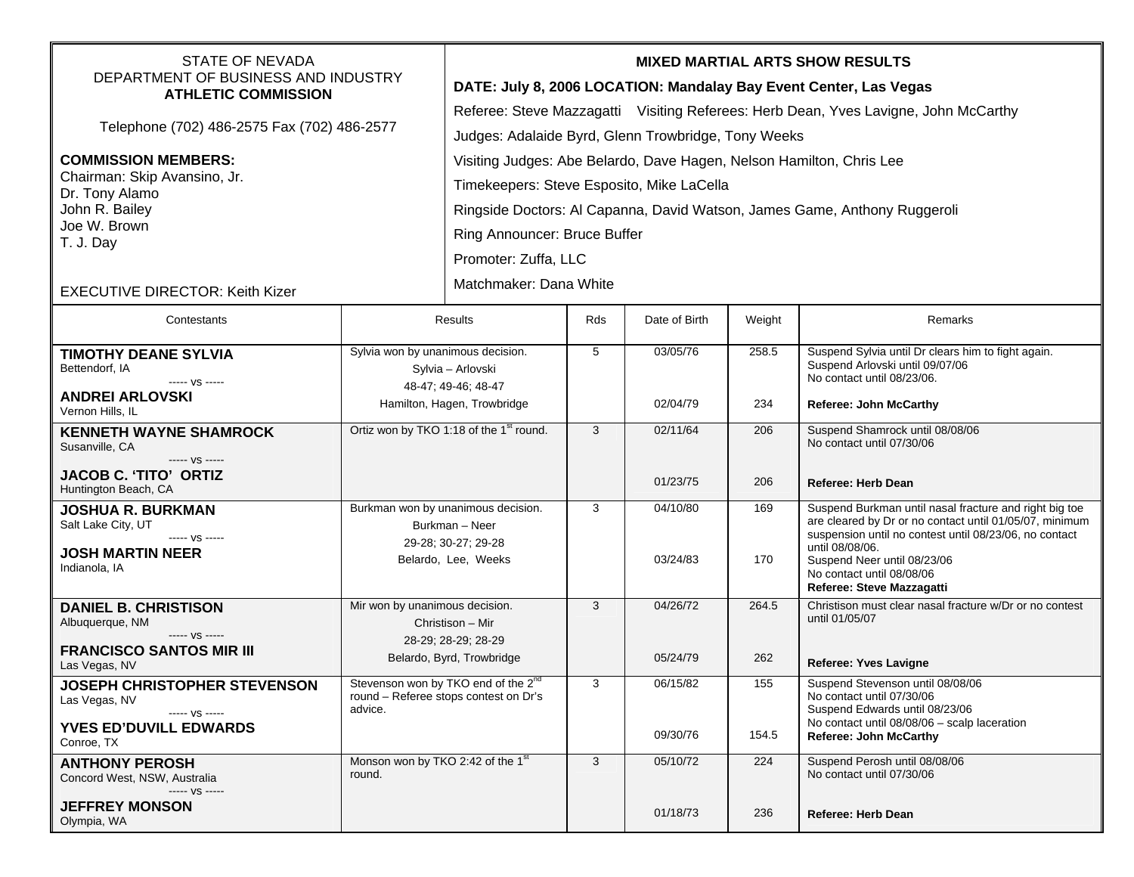| <b>STATE OF NEVADA</b><br>DEPARTMENT OF BUSINESS AND INDUSTRY          |                                                                                          | <b>MIXED MARTIAL ARTS SHOW RESULTS</b>                                                                                                                   |            |               |        |                                                                                                                   |  |  |
|------------------------------------------------------------------------|------------------------------------------------------------------------------------------|----------------------------------------------------------------------------------------------------------------------------------------------------------|------------|---------------|--------|-------------------------------------------------------------------------------------------------------------------|--|--|
| <b>ATHLETIC COMMISSION</b>                                             |                                                                                          | DATE: July 8, 2006 LOCATION: Mandalay Bay Event Center, Las Vegas<br>Referee: Steve Mazzagatti Visiting Referees: Herb Dean, Yves Lavigne, John McCarthy |            |               |        |                                                                                                                   |  |  |
| Telephone (702) 486-2575 Fax (702) 486-2577                            |                                                                                          | Judges: Adalaide Byrd, Glenn Trowbridge, Tony Weeks                                                                                                      |            |               |        |                                                                                                                   |  |  |
| <b>COMMISSION MEMBERS:</b>                                             |                                                                                          | Visiting Judges: Abe Belardo, Dave Hagen, Nelson Hamilton, Chris Lee                                                                                     |            |               |        |                                                                                                                   |  |  |
| Chairman: Skip Avansino, Jr.                                           |                                                                                          | Timekeepers: Steve Esposito, Mike LaCella                                                                                                                |            |               |        |                                                                                                                   |  |  |
| Dr. Tony Alamo<br>John R. Bailey<br>Joe W. Brown<br>T. J. Day          |                                                                                          |                                                                                                                                                          |            |               |        |                                                                                                                   |  |  |
|                                                                        |                                                                                          | Ringside Doctors: Al Capanna, David Watson, James Game, Anthony Ruggeroli                                                                                |            |               |        |                                                                                                                   |  |  |
|                                                                        |                                                                                          | Ring Announcer: Bruce Buffer                                                                                                                             |            |               |        |                                                                                                                   |  |  |
|                                                                        |                                                                                          | Promoter: Zuffa, LLC                                                                                                                                     |            |               |        |                                                                                                                   |  |  |
| <b>EXECUTIVE DIRECTOR: Keith Kizer</b>                                 |                                                                                          | Matchmaker: Dana White                                                                                                                                   |            |               |        |                                                                                                                   |  |  |
| Contestants                                                            | Results                                                                                  |                                                                                                                                                          | <b>Rds</b> | Date of Birth | Weight | Remarks                                                                                                           |  |  |
| <b>TIMOTHY DEANE SYLVIA</b><br>Bettendorf, IA                          | Sylvia won by unanimous decision.<br>Sylvia - Arlovski                                   |                                                                                                                                                          | 5          | 03/05/76      | 258.5  | Suspend Sylvia until Dr clears him to fight again.<br>Suspend Arlovski until 09/07/06                             |  |  |
| ----- VS -----<br><b>ANDREI ARLOVSKI</b><br>Vernon Hills, IL           |                                                                                          | 48-47; 49-46; 48-47<br>Hamilton, Hagen, Trowbridge                                                                                                       |            | 02/04/79      | 234    | No contact until 08/23/06.<br><b>Referee: John McCarthy</b>                                                       |  |  |
| <b>KENNETH WAYNE SHAMROCK</b>                                          | Ortiz won by TKO 1:18 of the 1 <sup>st</sup> round.                                      |                                                                                                                                                          | 3          | 02/11/64      | 206    | Suspend Shamrock until 08/08/06                                                                                   |  |  |
| Susanville, CA                                                         |                                                                                          |                                                                                                                                                          |            |               |        | No contact until 07/30/06                                                                                         |  |  |
| ----- VS -----<br><b>JACOB C. 'TITO' ORTIZ</b><br>Huntington Beach, CA |                                                                                          |                                                                                                                                                          |            | 01/23/75      | 206    | <b>Referee: Herb Dean</b>                                                                                         |  |  |
| <b>JOSHUA R. BURKMAN</b><br>Salt Lake City, UT                         | Burkman won by unanimous decision.<br>Burkman - Neer                                     |                                                                                                                                                          | 3          | 04/10/80      | 169    | Suspend Burkman until nasal fracture and right big toe<br>are cleared by Dr or no contact until 01/05/07, minimum |  |  |
| ----- VS -----<br><b>JOSH MARTIN NEER</b>                              |                                                                                          | 29-28; 30-27; 29-28                                                                                                                                      |            | 03/24/83      | 170    | suspension until no contest until 08/23/06, no contact<br>until 08/08/06.                                         |  |  |
| Indianola, IA                                                          |                                                                                          | Belardo, Lee, Weeks                                                                                                                                      |            |               |        | Suspend Neer until 08/23/06<br>No contact until 08/08/06                                                          |  |  |
|                                                                        |                                                                                          |                                                                                                                                                          |            |               |        | Referee: Steve Mazzagatti                                                                                         |  |  |
| <b>DANIEL B. CHRISTISON</b><br>Albuquerque, NM                         | Mir won by unanimous decision.<br>Christison - Mir                                       |                                                                                                                                                          | 3          | 04/26/72      | 264.5  | Christison must clear nasal fracture w/Dr or no contest<br>until 01/05/07                                         |  |  |
| ----- VS -----<br><b>FRANCISCO SANTOS MIR III</b>                      | 28-29; 28-29; 28-29                                                                      |                                                                                                                                                          |            |               |        |                                                                                                                   |  |  |
| Las Vegas, NV                                                          | Belardo, Byrd, Trowbridge                                                                |                                                                                                                                                          |            | 05/24/79      | 262    | <b>Referee: Yves Lavigne</b>                                                                                      |  |  |
| <b>JOSEPH CHRISTOPHER STEVENSON</b><br>Las Vegas, NV                   | Stevenson won by TKO end of the 2 <sup>nd</sup><br>round – Referee stops contest on Dr's |                                                                                                                                                          | 3          | 06/15/82      | 155    | Suspend Stevenson until 08/08/06<br>No contact until 07/30/06                                                     |  |  |
| ----- VS -----                                                         | advice.                                                                                  |                                                                                                                                                          |            |               |        | Suspend Edwards until 08/23/06<br>No contact until 08/08/06 - scalp laceration                                    |  |  |
| <b>YVES ED'DUVILL EDWARDS</b><br>Conroe, TX                            |                                                                                          |                                                                                                                                                          |            | 09/30/76      | 154.5  | <b>Referee: John McCarthy</b>                                                                                     |  |  |
| <b>ANTHONY PEROSH</b><br>Concord West, NSW, Australia                  | Monson won by TKO 2:42 of the 1 <sup>st</sup><br>round.                                  |                                                                                                                                                          | 3          | 05/10/72      | 224    | Suspend Perosh until 08/08/06<br>No contact until 07/30/06                                                        |  |  |
| ----- VS -----                                                         |                                                                                          |                                                                                                                                                          |            |               |        |                                                                                                                   |  |  |
| <b>JEFFREY MONSON</b><br>Olympia, WA                                   |                                                                                          |                                                                                                                                                          |            | 01/18/73      | 236    | Referee: Herb Dean                                                                                                |  |  |